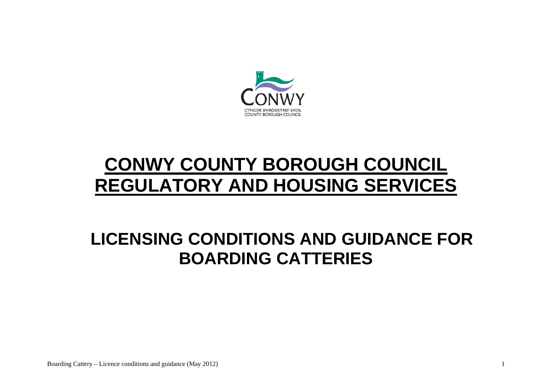

# **CONWY COUNTY BOROUGH COUNCIL REGULATORY AND HOUSING SERVICES**

## **LICENSING CONDITIONS AND GUIDANCE FOR BOARDING CATTERIES**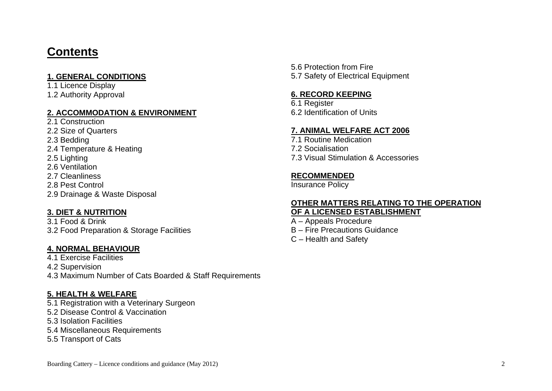### **Contents**

#### **1. GENERAL CONDITIONS**

1.1 Licence Display 1.2 Authority Approval

#### **2. ACCOMMODATION & ENVIRONMENT**

- 2.1 Construction 2.2 Size of Quarters 2.3 Bedding
- 2.4 Temperature & Heating
- 2.5 Lighting
- 2.6 Ventilation
- 2.7 Cleanliness
- 2.8 Pest Control
- 2.9 Drainage & Waste Disposal

#### **3. DIET & NUTRITION**

3.1 Food & Drink 3.2 Food Preparation & Storage Facilities

#### **4. NORMAL BEHAVIOUR**

4.1 Exercise Facilities 4.2 Supervision 4.3 Maximum Number of Cats Boarded & Staff Requirements

#### **5. HEALTH & WELFARE**

5.1 Registration with a Veterinary Surgeon

- 5.2 Disease Control & Vaccination
- 5.3 Isolation Facilities
- 5.4 Miscellaneous Requirements
- 5.5 Transport of Cats

5.6 Protection from Fire 5.7 Safety of Electrical Equipment

#### **6. RECORD KEEPING**

6.1 Register 6.2 Identification of Units

#### **7. ANIMAL WELFARE ACT 2006**

7.1 Routine Medication 7.2 Socialisation 7.3 Visual Stimulation & Accessories

#### **RECOMMENDED**

Insurance Policy

#### **OTHER MATTERS RELATING TO THE OPERATION OF A LICENSED ESTABLISHMENT**

- A Appeals Procedure B – Fire Precautions Guidance
- C Health and Safety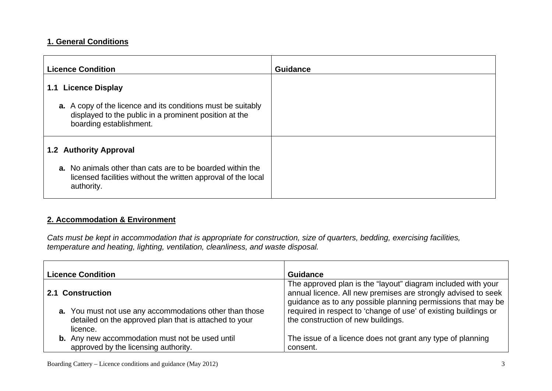#### **1. General Conditions**

| <b>Licence Condition</b>                                                                                                                                 | <b>Guidance</b> |
|----------------------------------------------------------------------------------------------------------------------------------------------------------|-----------------|
| <b>Licence Display</b><br>1.1                                                                                                                            |                 |
| <b>a.</b> A copy of the licence and its conditions must be suitably<br>displayed to the public in a prominent position at the<br>boarding establishment. |                 |
| <b>1.2 Authority Approval</b>                                                                                                                            |                 |
| <b>a.</b> No animals other than cats are to be boarded within the<br>licensed facilities without the written approval of the local<br>authority.         |                 |

#### **2. Accommodation & Environment**

*Cats must be kept in accommodation that is appropriate for construction, size of quarters, bedding, exercising facilities, temperature and heating, lighting, ventilation, cleanliness, and waste disposal.* 

| <b>Licence Condition</b>                                                                                                      | <b>Guidance</b>                                                                                                                                                                               |
|-------------------------------------------------------------------------------------------------------------------------------|-----------------------------------------------------------------------------------------------------------------------------------------------------------------------------------------------|
| 2.1 Construction                                                                                                              | The approved plan is the "layout" diagram included with your<br>annual licence. All new premises are strongly advised to seek<br>guidance as to any possible planning permissions that may be |
| a. You must not use any accommodations other than those<br>detailed on the approved plan that is attached to your<br>licence. | required in respect to 'change of use' of existing buildings or<br>the construction of new buildings.                                                                                         |
| <b>b.</b> Any new accommodation must not be used until<br>approved by the licensing authority.                                | The issue of a licence does not grant any type of planning<br>consent.                                                                                                                        |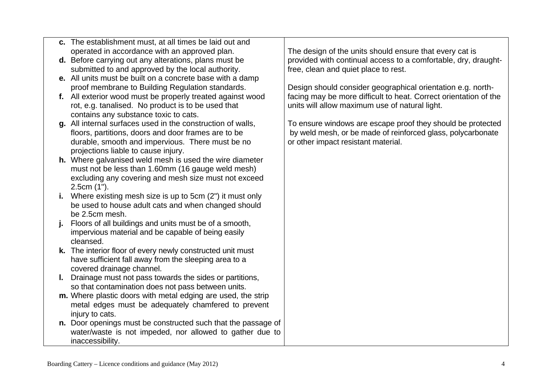| c. The establishment must, at all times be laid out and |
|---------------------------------------------------------|
| operated in accordance with an approved plan.           |

**d.** Before carrying out any alterations, plans must be submitted to and approved by the local authority.

- **e.** All units must be built on a concrete base with a damp proof membrane to Building Regulation standards.
- **f.** All exterior wood must be properly treated against wood rot, e.g. tanalised. No product is to be used that contains any substance toxic to cats.
- **g.** All internal surfaces used in the construction of walls, floors, partitions, doors and door frames are to be durable, smooth and impervious. There must be no projections liable to cause injury.
- **h.** Where galvanised weld mesh is used the wire diameter must not be less than 1.60mm (16 gauge weld mesh) excluding any covering and mesh size must not exceed 2.5cm (1").
- **i.** Where existing mesh size is up to 5cm (2") it must only be used to house adult cats and when changed should be 2.5cm mesh.
- **j.** Floors of all buildings and units must be of a smooth, impervious material and be capable of being easily cleansed.
- **k.** The interior floor of every newly constructed unit must have sufficient fall away from the sleeping area to a covered drainage channel.
- **l.** Drainage must not pass towards the sides or partitions, so that contamination does not pass between units.
- **m.** Where plastic doors with metal edging are used, the strip metal edges must be adequately chamfered to prevent injury to cats.
- **n.** Door openings must be constructed such that the passage of water/waste is not impeded, nor allowed to gather due to inaccessibility.

The design of the units should ensure that every cat is provided with continual access to a comfortable, dry, draughtfree, clean and quiet place to rest.

Design should consider geographical orientation e.g. northfacing may be more difficult to heat. Correct orientation of the units will allow maximum use of natural light.

To ensure windows are escape proof they should be protected by weld mesh, or be made of reinforced glass, polycarbonate or other impact resistant material.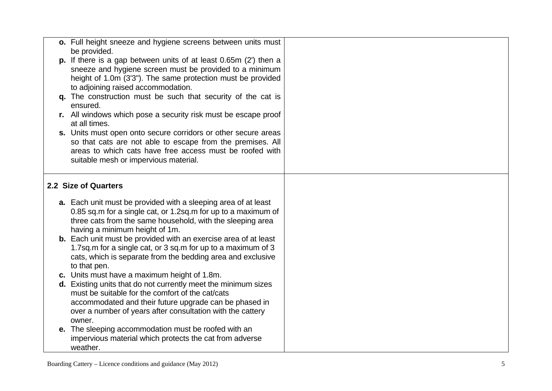| o. Full height sneeze and hygiene screens between units must           |  |
|------------------------------------------------------------------------|--|
| be provided.                                                           |  |
| p. If there is a gap between units of at least $0.65m$ (2') then a     |  |
| sneeze and hygiene screen must be provided to a minimum                |  |
| height of 1.0m (3'3"). The same protection must be provided            |  |
| to adjoining raised accommodation.                                     |  |
| q. The construction must be such that security of the cat is           |  |
| ensured.                                                               |  |
| r. All windows which pose a security risk must be escape proof         |  |
| at all times.                                                          |  |
| s. Units must open onto secure corridors or other secure areas         |  |
| so that cats are not able to escape from the premises. All             |  |
| areas to which cats have free access must be roofed with               |  |
| suitable mesh or impervious material.                                  |  |
|                                                                        |  |
|                                                                        |  |
| 2.2 Size of Quarters                                                   |  |
|                                                                        |  |
| <b>a.</b> Each unit must be provided with a sleeping area of at least  |  |
| 0.85 sq.m for a single cat, or 1.2sq.m for up to a maximum of          |  |
| three cats from the same household, with the sleeping area             |  |
| having a minimum height of 1m.                                         |  |
| <b>b.</b> Each unit must be provided with an exercise area of at least |  |
| 1.7sq.m for a single cat, or 3 sq.m for up to a maximum of 3           |  |
| cats, which is separate from the bedding area and exclusive            |  |
| to that pen.                                                           |  |
| c. Units must have a maximum height of 1.8m.                           |  |
| d. Existing units that do not currently meet the minimum sizes         |  |
| must be suitable for the comfort of the cat/cats                       |  |
| accommodated and their future upgrade can be phased in                 |  |
| over a number of years after consultation with the cattery             |  |
| owner.                                                                 |  |
| e. The sleeping accommodation must be roofed with an                   |  |
| impervious material which protects the cat from adverse                |  |
| weather.                                                               |  |
|                                                                        |  |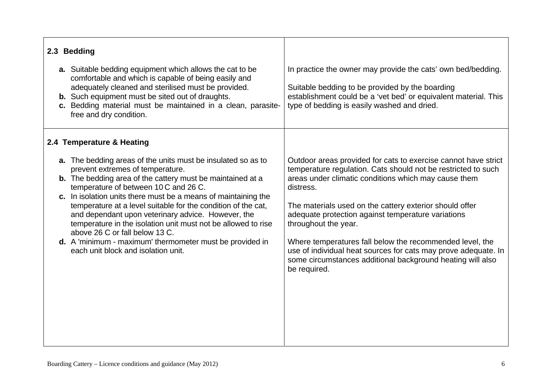| 2.3 Bedding                                                                                                                                                                                                                                                                                                                                                                                                                                                                                                                                                                                                          |                                                                                                                                                                                                                                                                                                                                                                                                                                                                                                                                                           |
|----------------------------------------------------------------------------------------------------------------------------------------------------------------------------------------------------------------------------------------------------------------------------------------------------------------------------------------------------------------------------------------------------------------------------------------------------------------------------------------------------------------------------------------------------------------------------------------------------------------------|-----------------------------------------------------------------------------------------------------------------------------------------------------------------------------------------------------------------------------------------------------------------------------------------------------------------------------------------------------------------------------------------------------------------------------------------------------------------------------------------------------------------------------------------------------------|
| <b>a.</b> Suitable bedding equipment which allows the cat to be<br>comfortable and which is capable of being easily and<br>adequately cleaned and sterilised must be provided.<br><b>b.</b> Such equipment must be sited out of draughts.<br>c. Bedding material must be maintained in a clean, parasite-<br>free and dry condition.                                                                                                                                                                                                                                                                                 | In practice the owner may provide the cats' own bed/bedding.<br>Suitable bedding to be provided by the boarding<br>establishment could be a 'vet bed' or equivalent material. This<br>type of bedding is easily washed and dried.                                                                                                                                                                                                                                                                                                                         |
| 2.4 Temperature & Heating                                                                                                                                                                                                                                                                                                                                                                                                                                                                                                                                                                                            |                                                                                                                                                                                                                                                                                                                                                                                                                                                                                                                                                           |
| <b>a.</b> The bedding areas of the units must be insulated so as to<br>prevent extremes of temperature.<br><b>b.</b> The bedding area of the cattery must be maintained at a<br>temperature of between 10 C and 26 C.<br>c. In isolation units there must be a means of maintaining the<br>temperature at a level suitable for the condition of the cat,<br>and dependant upon veterinary advice. However, the<br>temperature in the isolation unit must not be allowed to rise<br>above 26 C or fall below 13 C.<br>d. A 'minimum - maximum' thermometer must be provided in<br>each unit block and isolation unit. | Outdoor areas provided for cats to exercise cannot have strict<br>temperature regulation. Cats should not be restricted to such<br>areas under climatic conditions which may cause them<br>distress.<br>The materials used on the cattery exterior should offer<br>adequate protection against temperature variations<br>throughout the year.<br>Where temperatures fall below the recommended level, the<br>use of individual heat sources for cats may prove adequate. In<br>some circumstances additional background heating will also<br>be required. |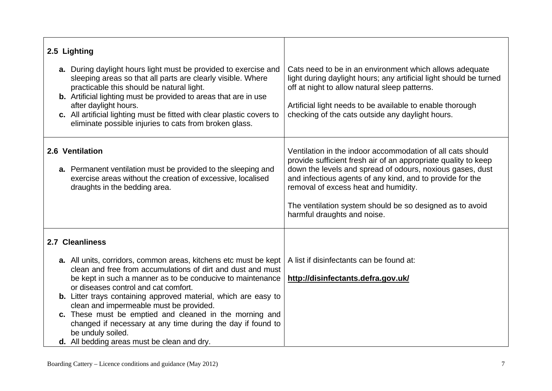| 2.5 Lighting                                                                                                                                                                                                                                                                                                                                                                                                                                                                                                                                             |                                                                                                                                                                                                                                                                                                                                                                                           |
|----------------------------------------------------------------------------------------------------------------------------------------------------------------------------------------------------------------------------------------------------------------------------------------------------------------------------------------------------------------------------------------------------------------------------------------------------------------------------------------------------------------------------------------------------------|-------------------------------------------------------------------------------------------------------------------------------------------------------------------------------------------------------------------------------------------------------------------------------------------------------------------------------------------------------------------------------------------|
| a. During daylight hours light must be provided to exercise and<br>sleeping areas so that all parts are clearly visible. Where<br>practicable this should be natural light.<br><b>b.</b> Artificial lighting must be provided to areas that are in use<br>after daylight hours.<br>c. All artificial lighting must be fitted with clear plastic covers to<br>eliminate possible injuries to cats from broken glass.                                                                                                                                      | Cats need to be in an environment which allows adequate<br>light during daylight hours; any artificial light should be turned<br>off at night to allow natural sleep patterns.<br>Artificial light needs to be available to enable thorough<br>checking of the cats outside any daylight hours.                                                                                           |
| 2.6 Ventilation<br>a. Permanent ventilation must be provided to the sleeping and<br>exercise areas without the creation of excessive, localised<br>draughts in the bedding area.                                                                                                                                                                                                                                                                                                                                                                         | Ventilation in the indoor accommodation of all cats should<br>provide sufficient fresh air of an appropriate quality to keep<br>down the levels and spread of odours, noxious gases, dust<br>and infectious agents of any kind, and to provide for the<br>removal of excess heat and humidity.<br>The ventilation system should be so designed as to avoid<br>harmful draughts and noise. |
| 2.7 Cleanliness                                                                                                                                                                                                                                                                                                                                                                                                                                                                                                                                          |                                                                                                                                                                                                                                                                                                                                                                                           |
| a. All units, corridors, common areas, kitchens etc must be kept<br>clean and free from accumulations of dirt and dust and must<br>be kept in such a manner as to be conducive to maintenance<br>or diseases control and cat comfort.<br><b>b.</b> Litter trays containing approved material, which are easy to<br>clean and impermeable must be provided.<br>c. These must be emptied and cleaned in the morning and<br>changed if necessary at any time during the day if found to<br>be unduly soiled.<br>d. All bedding areas must be clean and dry. | A list if disinfectants can be found at:<br>http://disinfectants.defra.gov.uk/                                                                                                                                                                                                                                                                                                            |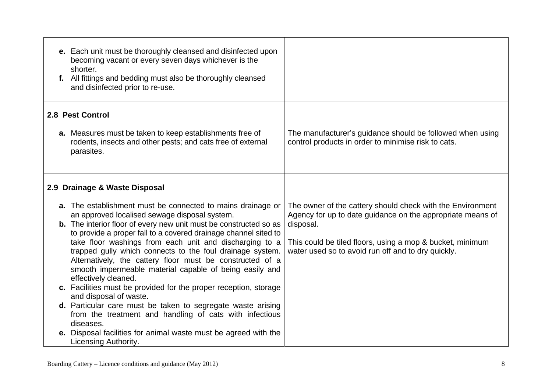| e. Each unit must be thoroughly cleansed and disinfected upon<br>becoming vacant or every seven days whichever is the<br>shorter.<br>f. All fittings and bedding must also be thoroughly cleansed<br>and disinfected prior to re-use.                                                                                                                                                                                                                                                                                                                                                                                                                                                                                                                                                                                                                                      |                                                                                                                                                                                                                                                          |
|----------------------------------------------------------------------------------------------------------------------------------------------------------------------------------------------------------------------------------------------------------------------------------------------------------------------------------------------------------------------------------------------------------------------------------------------------------------------------------------------------------------------------------------------------------------------------------------------------------------------------------------------------------------------------------------------------------------------------------------------------------------------------------------------------------------------------------------------------------------------------|----------------------------------------------------------------------------------------------------------------------------------------------------------------------------------------------------------------------------------------------------------|
| 2.8 Pest Control<br>a. Measures must be taken to keep establishments free of<br>rodents, insects and other pests; and cats free of external                                                                                                                                                                                                                                                                                                                                                                                                                                                                                                                                                                                                                                                                                                                                | The manufacturer's guidance should be followed when using<br>control products in order to minimise risk to cats.                                                                                                                                         |
| parasites.                                                                                                                                                                                                                                                                                                                                                                                                                                                                                                                                                                                                                                                                                                                                                                                                                                                                 |                                                                                                                                                                                                                                                          |
| 2.9 Drainage & Waste Disposal                                                                                                                                                                                                                                                                                                                                                                                                                                                                                                                                                                                                                                                                                                                                                                                                                                              |                                                                                                                                                                                                                                                          |
| <b>a.</b> The establishment must be connected to mains drainage or<br>an approved localised sewage disposal system.<br><b>b.</b> The interior floor of every new unit must be constructed so as<br>to provide a proper fall to a covered drainage channel sited to<br>take floor washings from each unit and discharging to a<br>trapped gully which connects to the foul drainage system.<br>Alternatively, the cattery floor must be constructed of a<br>smooth impermeable material capable of being easily and<br>effectively cleaned.<br>c. Facilities must be provided for the proper reception, storage<br>and disposal of waste.<br>d. Particular care must be taken to segregate waste arising<br>from the treatment and handling of cats with infectious<br>diseases.<br>e. Disposal facilities for animal waste must be agreed with the<br>Licensing Authority. | The owner of the cattery should check with the Environment<br>Agency for up to date guidance on the appropriate means of<br>disposal.<br>This could be tiled floors, using a mop & bucket, minimum<br>water used so to avoid run off and to dry quickly. |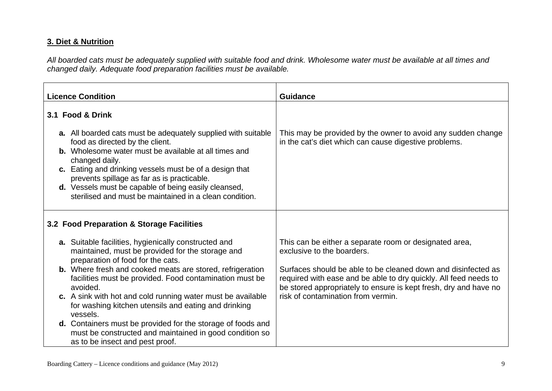#### **3. Diet & Nutrition**

*All boarded cats must be adequately supplied with suitable food and drink. Wholesome water must be available at all times and changed daily. Adequate food preparation facilities must be available.* 

| <b>Licence Condition</b>                                                                                                                                                                                                                                                                                                                                                                                               | <b>Guidance</b>                                                                                                                                                                                       |
|------------------------------------------------------------------------------------------------------------------------------------------------------------------------------------------------------------------------------------------------------------------------------------------------------------------------------------------------------------------------------------------------------------------------|-------------------------------------------------------------------------------------------------------------------------------------------------------------------------------------------------------|
| 3.1 Food & Drink                                                                                                                                                                                                                                                                                                                                                                                                       |                                                                                                                                                                                                       |
| <b>a.</b> All boarded cats must be adequately supplied with suitable<br>food as directed by the client.<br><b>b.</b> Wholesome water must be available at all times and<br>changed daily.<br>c. Eating and drinking vessels must be of a design that<br>prevents spillage as far as is practicable.<br>d. Vessels must be capable of being easily cleansed,<br>sterilised and must be maintained in a clean condition. | This may be provided by the owner to avoid any sudden change<br>in the cat's diet which can cause digestive problems.                                                                                 |
| 3.2 Food Preparation & Storage Facilities                                                                                                                                                                                                                                                                                                                                                                              |                                                                                                                                                                                                       |
| <b>a.</b> Suitable facilities, hygienically constructed and<br>maintained, must be provided for the storage and<br>preparation of food for the cats.                                                                                                                                                                                                                                                                   | This can be either a separate room or designated area,<br>exclusive to the boarders.                                                                                                                  |
| <b>b.</b> Where fresh and cooked meats are stored, refrigeration<br>facilities must be provided. Food contamination must be<br>avoided.                                                                                                                                                                                                                                                                                | Surfaces should be able to be cleaned down and disinfected as<br>required with ease and be able to dry quickly. All feed needs to<br>be stored appropriately to ensure is kept fresh, dry and have no |
| c. A sink with hot and cold running water must be available<br>for washing kitchen utensils and eating and drinking<br>vessels.                                                                                                                                                                                                                                                                                        | risk of contamination from vermin.                                                                                                                                                                    |
| <b>d.</b> Containers must be provided for the storage of foods and<br>must be constructed and maintained in good condition so<br>as to be insect and pest proof.                                                                                                                                                                                                                                                       |                                                                                                                                                                                                       |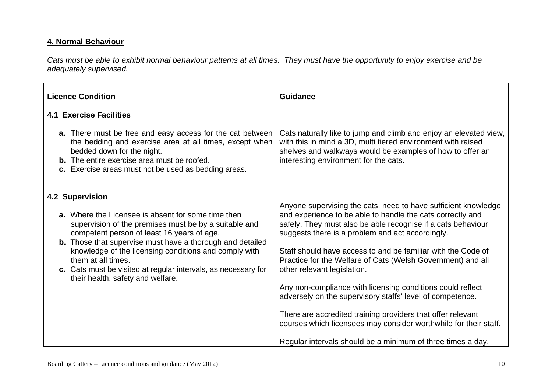#### **4. Normal Behaviour**

*Cats must be able to exhibit normal behaviour patterns at all times. They must have the opportunity to enjoy exercise and be adequately supervised.* 

| <b>Licence Condition</b>                                                                                                                                                                                                                                                                                                                                                                                                                      | <b>Guidance</b>                                                                                                                                                                                                                                                                                                                                                                                                                                                                                                                                                                                                                                                                                                                             |
|-----------------------------------------------------------------------------------------------------------------------------------------------------------------------------------------------------------------------------------------------------------------------------------------------------------------------------------------------------------------------------------------------------------------------------------------------|---------------------------------------------------------------------------------------------------------------------------------------------------------------------------------------------------------------------------------------------------------------------------------------------------------------------------------------------------------------------------------------------------------------------------------------------------------------------------------------------------------------------------------------------------------------------------------------------------------------------------------------------------------------------------------------------------------------------------------------------|
| <b>4.1 Exercise Facilities</b><br>a. There must be free and easy access for the cat between<br>the bedding and exercise area at all times, except when<br>bedded down for the night.<br><b>b.</b> The entire exercise area must be roofed.<br>c. Exercise areas must not be used as bedding areas.                                                                                                                                            | Cats naturally like to jump and climb and enjoy an elevated view,<br>with this in mind a 3D, multi tiered environment with raised<br>shelves and walkways would be examples of how to offer an<br>interesting environment for the cats.                                                                                                                                                                                                                                                                                                                                                                                                                                                                                                     |
| 4.2 Supervision<br><b>a.</b> Where the Licensee is absent for some time then<br>supervision of the premises must be by a suitable and<br>competent person of least 16 years of age.<br><b>b.</b> Those that supervise must have a thorough and detailed<br>knowledge of the licensing conditions and comply with<br>them at all times.<br>c. Cats must be visited at regular intervals, as necessary for<br>their health, safety and welfare. | Anyone supervising the cats, need to have sufficient knowledge<br>and experience to be able to handle the cats correctly and<br>safely. They must also be able recognise if a cats behaviour<br>suggests there is a problem and act accordingly.<br>Staff should have access to and be familiar with the Code of<br>Practice for the Welfare of Cats (Welsh Government) and all<br>other relevant legislation.<br>Any non-compliance with licensing conditions could reflect<br>adversely on the supervisory staffs' level of competence.<br>There are accredited training providers that offer relevant<br>courses which licensees may consider worthwhile for their staff.<br>Regular intervals should be a minimum of three times a day. |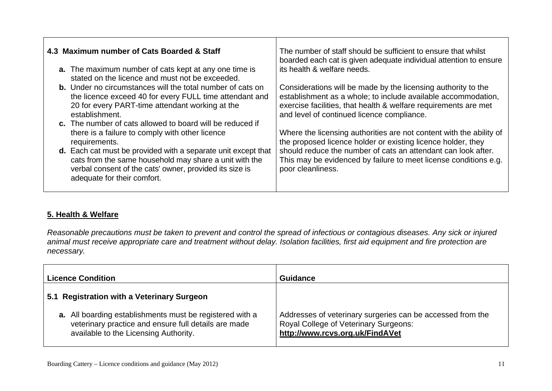| 4.3 Maximum number of Cats Boarded & Staff                                                                                                                                                                               | The number of staff should be sufficient to ensure that whilst<br>boarded each cat is given adequate individual attention to ensure                                                                                                             |
|--------------------------------------------------------------------------------------------------------------------------------------------------------------------------------------------------------------------------|-------------------------------------------------------------------------------------------------------------------------------------------------------------------------------------------------------------------------------------------------|
| <b>a.</b> The maximum number of cats kept at any one time is<br>stated on the licence and must not be exceeded.                                                                                                          | its health & welfare needs.                                                                                                                                                                                                                     |
| <b>b.</b> Under no circumstances will the total number of cats on<br>the licence exceed 40 for every FULL time attendant and<br>20 for every PART-time attendant working at the<br>establishment.                        | Considerations will be made by the licensing authority to the<br>establishment as a whole; to include available accommodation,<br>exercise facilities, that health & welfare requirements are met<br>and level of continued licence compliance. |
| c. The number of cats allowed to board will be reduced if<br>there is a failure to comply with other licence<br>requirements.                                                                                            | Where the licensing authorities are not content with the ability of<br>the proposed licence holder or existing licence holder, they                                                                                                             |
| <b>d.</b> Each cat must be provided with a separate unit except that<br>cats from the same household may share a unit with the<br>verbal consent of the cats' owner, provided its size is<br>adequate for their comfort. | should reduce the number of cats an attendant can look after.<br>This may be evidenced by failure to meet license conditions e.g.<br>poor cleanliness.                                                                                          |

┯

#### **5. Health & Welfare**

*Reasonable precautions must be taken to prevent and control the spread of infectious or contagious diseases. Any sick or injured animal must receive appropriate care and treatment without delay. Isolation facilities, first aid equipment and fire protection are necessary.* 

| <b>Licence Condition</b>                                                                                                                                         | <b>Guidance</b>                                                                                                                        |
|------------------------------------------------------------------------------------------------------------------------------------------------------------------|----------------------------------------------------------------------------------------------------------------------------------------|
| 5.1 Registration with a Veterinary Surgeon                                                                                                                       |                                                                                                                                        |
| <b>a.</b> All boarding establishments must be registered with a<br>veterinary practice and ensure full details are made<br>available to the Licensing Authority. | Addresses of veterinary surgeries can be accessed from the<br>Royal College of Veterinary Surgeons:<br>http://www.rcvs.org.uk/FindAVet |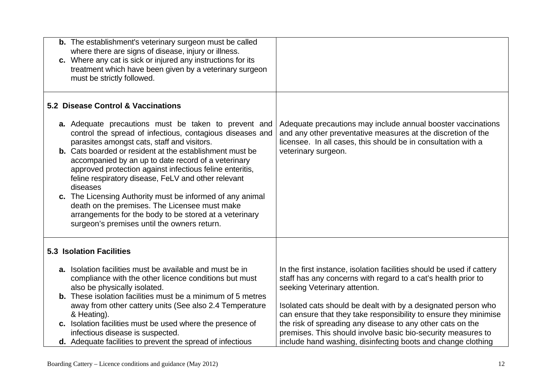| <b>b.</b> The establishment's veterinary surgeon must be called<br>where there are signs of disease, injury or illness.<br>c. Where any cat is sick or injured any instructions for its<br>treatment which have been given by a veterinary surgeon<br>must be strictly followed.                                                                                                                                                                                                                                                                                                                                                                        |                                                                                                                                                                                                                                                                                                              |
|---------------------------------------------------------------------------------------------------------------------------------------------------------------------------------------------------------------------------------------------------------------------------------------------------------------------------------------------------------------------------------------------------------------------------------------------------------------------------------------------------------------------------------------------------------------------------------------------------------------------------------------------------------|--------------------------------------------------------------------------------------------------------------------------------------------------------------------------------------------------------------------------------------------------------------------------------------------------------------|
| 5.2 Disease Control & Vaccinations                                                                                                                                                                                                                                                                                                                                                                                                                                                                                                                                                                                                                      |                                                                                                                                                                                                                                                                                                              |
| <b>a.</b> Adequate precautions must be taken to prevent and<br>control the spread of infectious, contagious diseases and<br>parasites amongst cats, staff and visitors.<br><b>b.</b> Cats boarded or resident at the establishment must be<br>accompanied by an up to date record of a veterinary<br>approved protection against infectious feline enteritis,<br>feline respiratory disease, FeLV and other relevant<br>diseases<br>c. The Licensing Authority must be informed of any animal<br>death on the premises. The Licensee must make<br>arrangements for the body to be stored at a veterinary<br>surgeon's premises until the owners return. | Adequate precautions may include annual booster vaccinations<br>and any other preventative measures at the discretion of the<br>licensee. In all cases, this should be in consultation with a<br>veterinary surgeon.                                                                                         |
| <b>5.3 Isolation Facilities</b>                                                                                                                                                                                                                                                                                                                                                                                                                                                                                                                                                                                                                         |                                                                                                                                                                                                                                                                                                              |
| a. Isolation facilities must be available and must be in<br>compliance with the other licence conditions but must<br>also be physically isolated.<br><b>b.</b> These isolation facilities must be a minimum of 5 metres<br>away from other cattery units (See also 2.4 Temperature<br>& Heating).                                                                                                                                                                                                                                                                                                                                                       | In the first instance, isolation facilities should be used if cattery<br>staff has any concerns with regard to a cat's health prior to<br>seeking Veterinary attention.<br>Isolated cats should be dealt with by a designated person who<br>can ensure that they take responsibility to ensure they minimise |
| c. Isolation facilities must be used where the presence of<br>infectious disease is suspected.<br><b>d.</b> Adequate facilities to prevent the spread of infectious                                                                                                                                                                                                                                                                                                                                                                                                                                                                                     | the risk of spreading any disease to any other cats on the<br>premises. This should involve basic bio-security measures to<br>include hand washing, disinfecting boots and change clothing                                                                                                                   |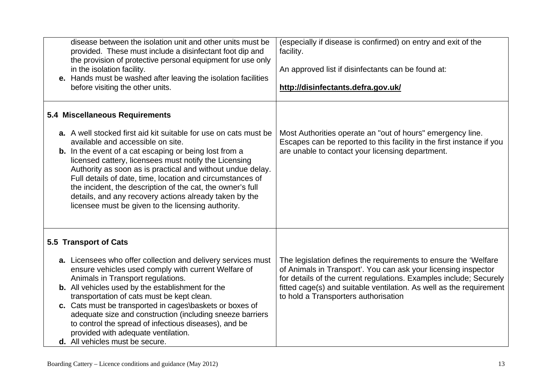| disease between the isolation unit and other units must be<br>provided. These must include a disinfectant foot dip and<br>the provision of protective personal equipment for use only<br>in the isolation facility.<br>e. Hands must be washed after leaving the isolation facilities<br>before visiting the other units.                                                                                                                                                                                                                | (especially if disease is confirmed) on entry and exit of the<br>facility.<br>An approved list if disinfectants can be found at:<br>http://disinfectants.defra.gov.uk/                                                                                                                                                  |
|------------------------------------------------------------------------------------------------------------------------------------------------------------------------------------------------------------------------------------------------------------------------------------------------------------------------------------------------------------------------------------------------------------------------------------------------------------------------------------------------------------------------------------------|-------------------------------------------------------------------------------------------------------------------------------------------------------------------------------------------------------------------------------------------------------------------------------------------------------------------------|
| 5.4 Miscellaneous Requirements                                                                                                                                                                                                                                                                                                                                                                                                                                                                                                           |                                                                                                                                                                                                                                                                                                                         |
| a. A well stocked first aid kit suitable for use on cats must be<br>available and accessible on site.<br><b>b.</b> In the event of a cat escaping or being lost from a<br>licensed cattery, licensees must notify the Licensing<br>Authority as soon as is practical and without undue delay.<br>Full details of date, time, location and circumstances of<br>the incident, the description of the cat, the owner's full<br>details, and any recovery actions already taken by the<br>licensee must be given to the licensing authority. | Most Authorities operate an "out of hours" emergency line.<br>Escapes can be reported to this facility in the first instance if you<br>are unable to contact your licensing department.                                                                                                                                 |
| 5.5 Transport of Cats                                                                                                                                                                                                                                                                                                                                                                                                                                                                                                                    |                                                                                                                                                                                                                                                                                                                         |
| a. Licensees who offer collection and delivery services must<br>ensure vehicles used comply with current Welfare of<br>Animals in Transport regulations.<br>b. All vehicles used by the establishment for the<br>transportation of cats must be kept clean.<br>c. Cats must be transported in cages\baskets or boxes of<br>adequate size and construction (including sneeze barriers<br>to control the spread of infectious diseases), and be<br>provided with adequate ventilation.<br>d. All vehicles must be secure.                  | The legislation defines the requirements to ensure the 'Welfare'<br>of Animals in Transport'. You can ask your licensing inspector<br>for details of the current regulations. Examples include; Securely<br>fitted cage(s) and suitable ventilation. As well as the requirement<br>to hold a Transporters authorisation |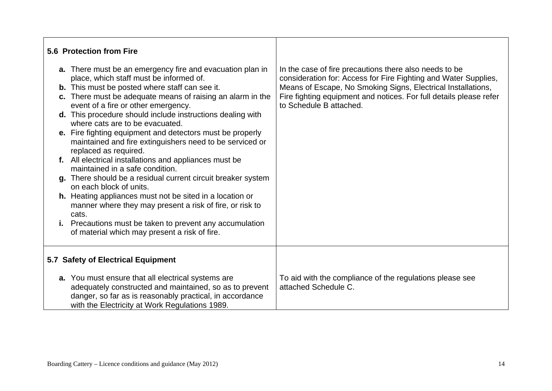| 5.6 Protection from Fire<br>a. There must be an emergency fire and evacuation plan in<br>place, which staff must be informed of.<br><b>b.</b> This must be posted where staff can see it.                                   | In the case of fire precautions there also needs to be<br>consideration for: Access for Fire Fighting and Water Supplies,<br>Means of Escape, No Smoking Signs, Electrical Installations, |
|-----------------------------------------------------------------------------------------------------------------------------------------------------------------------------------------------------------------------------|-------------------------------------------------------------------------------------------------------------------------------------------------------------------------------------------|
| c. There must be adequate means of raising an alarm in the<br>event of a fire or other emergency.<br>d. This procedure should include instructions dealing with                                                             | Fire fighting equipment and notices. For full details please refer<br>to Schedule B attached.                                                                                             |
| where cats are to be evacuated.<br>e. Fire fighting equipment and detectors must be properly<br>maintained and fire extinguishers need to be serviced or<br>replaced as required.                                           |                                                                                                                                                                                           |
| f. All electrical installations and appliances must be<br>maintained in a safe condition.                                                                                                                                   |                                                                                                                                                                                           |
| g. There should be a residual current circuit breaker system<br>on each block of units.                                                                                                                                     |                                                                                                                                                                                           |
| h. Heating appliances must not be sited in a location or<br>manner where they may present a risk of fire, or risk to<br>cats.                                                                                               |                                                                                                                                                                                           |
| i. Precautions must be taken to prevent any accumulation<br>of material which may present a risk of fire.                                                                                                                   |                                                                                                                                                                                           |
| 5.7 Safety of Electrical Equipment                                                                                                                                                                                          |                                                                                                                                                                                           |
| a. You must ensure that all electrical systems are<br>adequately constructed and maintained, so as to prevent<br>danger, so far as is reasonably practical, in accordance<br>with the Electricity at Work Regulations 1989. | To aid with the compliance of the regulations please see<br>attached Schedule C.                                                                                                          |

 $\mathbf{r}$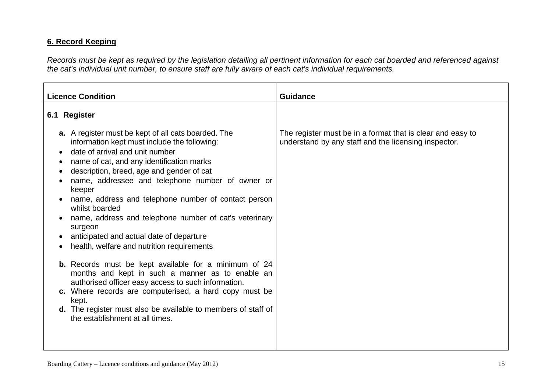#### **6. Record Keeping**

*Records must be kept as required by the legislation detailing all pertinent information for each cat boarded and referenced against the cat's individual unit number, to ensure staff are fully aware of each cat's individual requirements.* 

| <b>Licence Condition</b>                                                                                                                                                                                                                                                                                                                                                                                                                                                                                                                       | <b>Guidance</b>                                                                                                    |
|------------------------------------------------------------------------------------------------------------------------------------------------------------------------------------------------------------------------------------------------------------------------------------------------------------------------------------------------------------------------------------------------------------------------------------------------------------------------------------------------------------------------------------------------|--------------------------------------------------------------------------------------------------------------------|
| 6.1 Register                                                                                                                                                                                                                                                                                                                                                                                                                                                                                                                                   |                                                                                                                    |
| <b>a.</b> A register must be kept of all cats boarded. The<br>information kept must include the following:<br>date of arrival and unit number<br>name of cat, and any identification marks<br>description, breed, age and gender of cat<br>name, addressee and telephone number of owner or<br>keeper<br>name, address and telephone number of contact person<br>whilst boarded<br>name, address and telephone number of cat's veterinary<br>surgeon<br>anticipated and actual date of departure<br>health, welfare and nutrition requirements | The register must be in a format that is clear and easy to<br>understand by any staff and the licensing inspector. |
| <b>b.</b> Records must be kept available for a minimum of 24<br>months and kept in such a manner as to enable an<br>authorised officer easy access to such information.<br>c. Where records are computerised, a hard copy must be<br>kept.<br><b>d.</b> The register must also be available to members of staff of<br>the establishment at all times.                                                                                                                                                                                          |                                                                                                                    |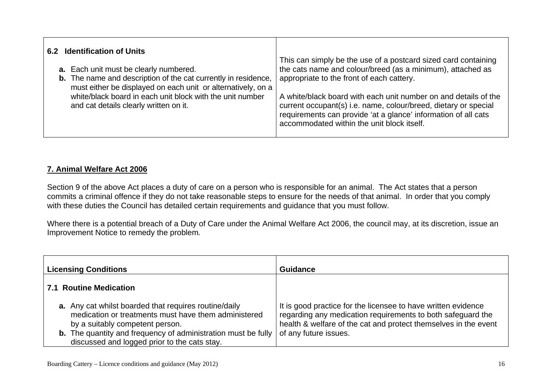| 6.2 Identification of Units<br><b>a.</b> Each unit must be clearly numbered.<br><b>b.</b> The name and description of the cat currently in residence,<br>must either be displayed on each unit or alternatively, on a | This can simply be the use of a postcard sized card containing<br>the cats name and colour/breed (as a minimum), attached as<br>appropriate to the front of each cattery.                                                                          |
|-----------------------------------------------------------------------------------------------------------------------------------------------------------------------------------------------------------------------|----------------------------------------------------------------------------------------------------------------------------------------------------------------------------------------------------------------------------------------------------|
| white/black board in each unit block with the unit number<br>and cat details clearly written on it.                                                                                                                   | A white/black board with each unit number on and details of the<br>current occupant(s) i.e. name, colour/breed, dietary or special<br>requirements can provide 'at a glance' information of all cats<br>accommodated within the unit block itself. |

#### **7. Animal Welfare Act 2006**

Section 9 of the above Act places a duty of care on a person who is responsible for an animal. The Act states that a person commits a criminal offence if they do not take reasonable steps to ensure for the needs of that animal. In order that you comply with these duties the Council has detailed certain requirements and guidance that you must follow.

Where there is a potential breach of a Duty of Care under the Animal Welfare Act 2006, the council may, at its discretion, issue an Improvement Notice to remedy the problem*.* 

| <b>Licensing Conditions</b>                                                                                                                                                                                                                                              | <b>Guidance</b>                                                                                                                                                                                                          |
|--------------------------------------------------------------------------------------------------------------------------------------------------------------------------------------------------------------------------------------------------------------------------|--------------------------------------------------------------------------------------------------------------------------------------------------------------------------------------------------------------------------|
| 7.1 Routine Medication                                                                                                                                                                                                                                                   |                                                                                                                                                                                                                          |
| a. Any cat whilst boarded that requires routine/daily<br>medication or treatments must have them administered<br>by a suitably competent person.<br><b>b.</b> The quantity and frequency of administration must be fully<br>discussed and logged prior to the cats stay. | It is good practice for the licensee to have written evidence<br>regarding any medication requirements to both safeguard the<br>health & welfare of the cat and protect themselves in the event<br>of any future issues. |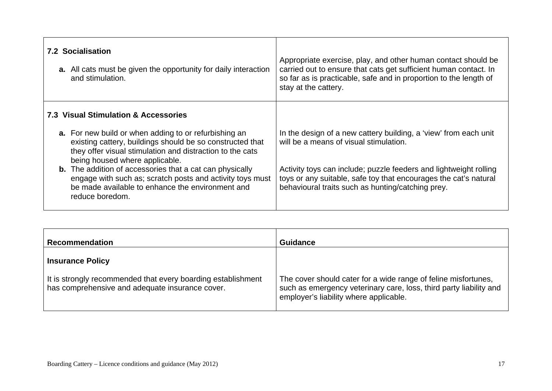| <b>7.2 Socialisation</b><br><b>a.</b> All cats must be given the opportunity for daily interaction<br>and stimulation.                                                                                                   | Appropriate exercise, play, and other human contact should be<br>carried out to ensure that cats get sufficient human contact. In<br>so far as is practicable, safe and in proportion to the length of<br>stay at the cattery. |
|--------------------------------------------------------------------------------------------------------------------------------------------------------------------------------------------------------------------------|--------------------------------------------------------------------------------------------------------------------------------------------------------------------------------------------------------------------------------|
| 7.3 Visual Stimulation & Accessories                                                                                                                                                                                     |                                                                                                                                                                                                                                |
| <b>a.</b> For new build or when adding to or refurbishing an<br>existing cattery, buildings should be so constructed that<br>they offer visual stimulation and distraction to the cats<br>being housed where applicable. | In the design of a new cattery building, a 'view' from each unit<br>will be a means of visual stimulation.                                                                                                                     |
| <b>b.</b> The addition of accessories that a cat can physically<br>engage with such as; scratch posts and activity toys must<br>be made available to enhance the environment and<br>reduce boredom.                      | Activity toys can include; puzzle feeders and lightweight rolling<br>toys or any suitable, safe toy that encourages the cat's natural<br>behavioural traits such as hunting/catching prey.                                     |

| <b>Recommendation</b>                                                                                           | <b>Guidance</b>                                                                                                                                                                |
|-----------------------------------------------------------------------------------------------------------------|--------------------------------------------------------------------------------------------------------------------------------------------------------------------------------|
| <b>Insurance Policy</b>                                                                                         |                                                                                                                                                                                |
| It is strongly recommended that every boarding establishment<br>has comprehensive and adequate insurance cover. | The cover should cater for a wide range of feline misfortunes,<br>such as emergency veterinary care, loss, third party liability and<br>employer's liability where applicable. |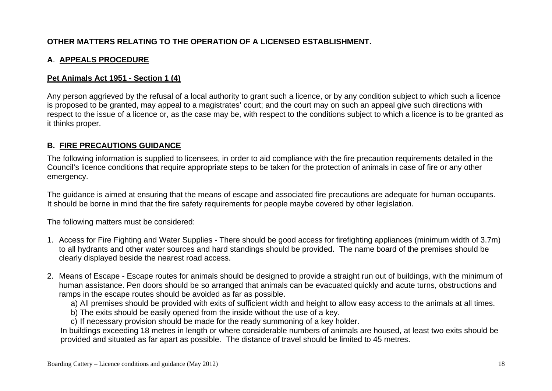#### **OTHER MATTERS RELATING TO THE OPERATION OF A LICENSED ESTABLISHMENT.**

#### **A**. **APPEALS PROCEDURE**

#### **Pet Animals Act 1951 - Section 1 (4)**

Any person aggrieved by the refusal of a local authority to grant such a licence, or by any condition subject to which such a licence is proposed to be granted, may appeal to a magistrates' court; and the court may on such an appeal give such directions with respect to the issue of a licence or, as the case may be, with respect to the conditions subject to which a licence is to be granted as it thinks proper.

#### **B. FIRE PRECAUTIONS GUIDANCE**

The following information is supplied to licensees, in order to aid compliance with the fire precaution requirements detailed in the Council's licence conditions that require appropriate steps to be taken for the protection of animals in case of fire or any other emergency.

The guidance is aimed at ensuring that the means of escape and associated fire precautions are adequate for human occupants. It should be borne in mind that the fire safety requirements for people maybe covered by other legislation.

The following matters must be considered:

- 1. Access for Fire Fighting and Water Supplies There should be good access for firefighting appliances (minimum width of 3.7m) to all hydrants and other water sources and hard standings should be provided. The name board of the premises should be clearly displayed beside the nearest road access.
- 2. Means of Escape Escape routes for animals should be designed to provide a straight run out of buildings, with the minimum of human assistance. Pen doors should be so arranged that animals can be evacuated quickly and acute turns, obstructions and ramps in the escape routes should be avoided as far as possible.
	- a) All premises should be provided with exits of sufficient width and height to allow easy access to the animals at all times.
	- b) The exits should be easily opened from the inside without the use of a key.
	- c) If necessary provision should be made for the ready summoning of a key holder.

In buildings exceeding 18 metres in length or where considerable numbers of animals are housed, at least two exits should be provided and situated as far apart as possible. The distance of travel should be limited to 45 metres.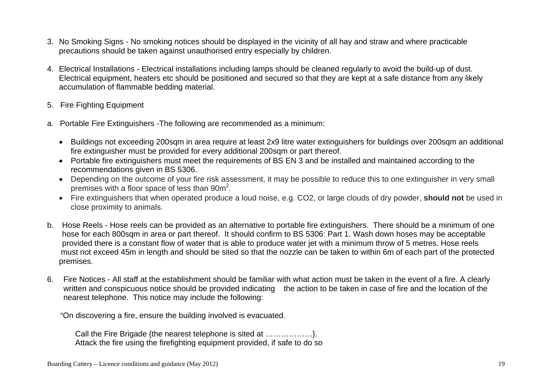- 3. No Smoking Signs No smoking notices should be displayed in the vicinity of all hay and straw and where practicable precautions should be taken against unauthorised entry especially by children.
- 4. Electrical Installations Electrical installations including lamps should be cleaned regularly to avoid the build-up of dust. Electrical equipment, heaters etc should be positioned and secured so that they are kept at a safe distance from any likely accumulation of flammable bedding material.
- 5. Fire Fighting Equipment
- a. Portable Fire Extinguishers -The following are recommended as a minimum:
	- Buildings not exceeding 200sqm in area require at least 2x9 litre water extinguishers for buildings over 200sqm an additional fire extinguisher must be provided for every additional 200sqm or part thereof.
	- Portable fire extinguishers must meet the requirements of BS EN 3 and be installed and maintained according to the recommendations given in BS 5306.
	- Depending on the outcome of your fire risk assessment, it may be possible to reduce this to one extinguisher in very small premises with a floor space of less than 90m2.
	- Fire extinguishers that when operated produce a loud noise, e.g. CO2, or large clouds of dry powder, **should not** be used in close proximity to animals.
- b. Hose Reels Hose reels can be provided as an alternative to portable fire extinguishers. There should be a minimum of one hose for each 800sqm in area or part thereof. It should confirm to BS 5306: Part 1. Wash down hoses may be acceptable provided there is a constant flow of water that is able to produce water jet with a minimum throw of 5 metres. Hose reels must not exceed 45m in length and should be sited so that the nozzle can be taken to within 6m of each part of the protected premises.
- 6. Fire Notices All staff at the establishment should be familiar with what action must be taken in the event of a fire. A clearly written and conspicuous notice should be provided indicating the action to be taken in case of fire and the location of the nearest telephone. This notice may include the following:

"On discovering a fire, ensure the building involved is evacuated.

 Call the Fire Brigade {the nearest telephone is sited at ………………}. Attack the fire using the firefighting equipment provided, if safe to do so